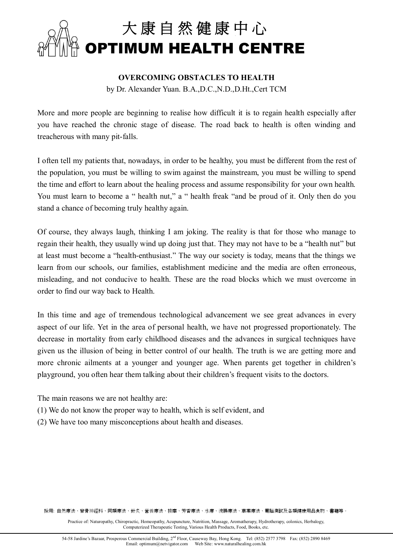

#### **OVERCOMING OBSTACLES TO HEALTH**

by Dr. Alexander Yuan. B.A.,D.C.,N.D.,D.Ht.,Cert TCM

More and more people are beginning to realise how difficult it is to regain health especially after you have reached the chronic stage of disease. The road back to health is often winding and treacherous with many pit-falls.

I often tell my patients that, nowadays, in order to be healthy, you must be different from the rest of the population, you must be willing to swim against the mainstream, you must be willing to spend the time and effort to learn about the healing process and assume responsibility for your own health. You must learn to become a " health nut," a " health freak "and be proud of it. Only then do you stand a chance of becoming truly healthy again.

Of course, they always laugh, thinking I am joking. The reality is that for those who manage to regain their health, they usually wind up doing just that. They may not have to be a "health nut" but at least must become a "health-enthusiast." The way our society is today, means that the things we learn from our schools, our families, establishment medicine and the media are often erroneous, misleading, and not conducive to health. These are the road blocks which we must overcome in order to find our way back to Health.

In this time and age of tremendous technological advancement we see great advances in every aspect of our life. Yet in the area of personal health, we have not progressed proportionately. The decrease in mortality from early childhood diseases and the advances in surgical techniques have given us the illusion of being in better control of our health. The truth is we are getting more and more chronic ailments at a younger and younger age. When parents get together in children's playground, you often hear them talking about their children's frequent visits to the doctors.

The main reasons we are not healthy are:

- (1) We do not know the proper way to health, which is self evident, and
- (2) We have too many misconceptions about health and diseases.

採用: 自然療法、脊骨神經科、同類療法、針炙、營養療法、按摩、芳香療法、水療、浣腸療法、草藥療法、電腦測試及各類健康用品食物、書籍等。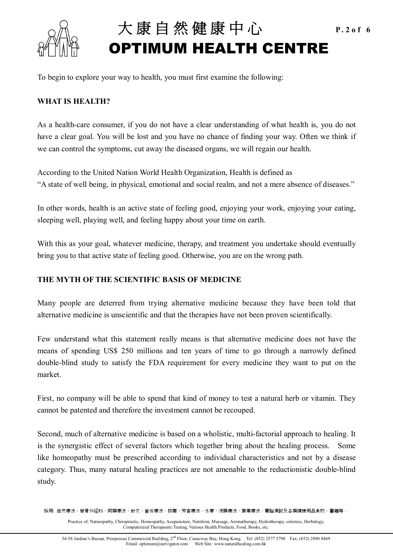

# 大 康 自 然 健 康 中 心 **P.2of 6 OPTIMUM HEALTH CENTRE**

To begin to explore your way to health, you must first examine the following:

### **WHAT IS HEALTH?**

As a health-care consumer, if you do not have a clear understanding of what health is, you do not have a clear goal. You will be lost and you have no chance of finding your way. Often we think if we can control the symptoms, cut away the diseased organs, we will regain our health.

According to the United Nation World Health Organization, Health is defined as "A state of well being, in physical, emotional and social realm, and not a mere absence of diseases."

In other words, health is an active state of feeling good, enjoying your work, enjoying your eating, sleeping well, playing well, and feeling happy about your time on earth.

With this as your goal, whatever medicine, therapy, and treatment you undertake should eventually bring you to that active state of feeling good. Otherwise, you are on the wrong path.

### **THE MYTH OF THE SCIENTIFIC BASIS OF MEDICINE**

Many people are deterred from trying alternative medicine because they have been told that alternative medicine is unscientific and that the therapies have not been proven scientifically.

Few understand what this statement really means is that alternative medicine does not have the means of spending US\$ 250 millions and ten years of time to go through a narrowly defined double-blind study to satisfy the FDA requirement for every medicine they want to put on the market.

First, no company will be able to spend that kind of money to test a natural herb or vitamin. They cannot be patented and therefore the investment cannot be recouped.

Second, much of alternative medicine is based on a wholistic, multi-factorial approach to healing. It is the synergistic effect of several factors which together bring about the healing process. Some like homeopathy must be prescribed according to individual characteristics and not by a disease category. Thus, many natural healing practices are not amenable to the reductionistic double-blind study.

採用: 自然療法、脊骨神經科、同類療法、針炙、營養療法、按摩、芳香療法、水療、浣腸療法、草藥療法、電腦測試及各類健康用品食物、書籍等。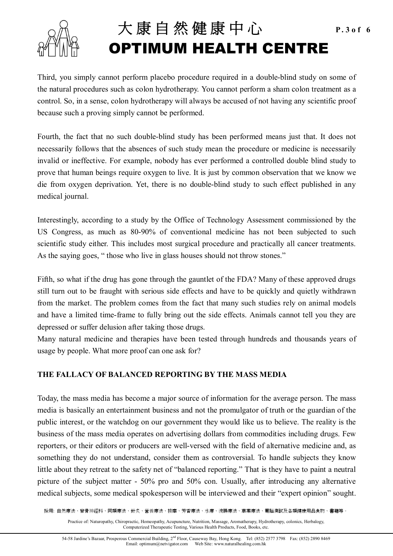

## 大 康 自 然 健 康 中 心 **P.3of 6 OPTIMUM HEALTH CENTRE**

Third, you simply cannot perform placebo procedure required in a double-blind study on some of the natural procedures such as colon hydrotherapy. You cannot perform a sham colon treatment as a control. So, in a sense, colon hydrotherapy will always be accused of not having any scientific proof because such a proving simply cannot be performed.

Fourth, the fact that no such double-blind study has been performed means just that. It does not necessarily follows that the absences of such study mean the procedure or medicine is necessarily invalid or ineffective. For example, nobody has ever performed a controlled double blind study to prove that human beings require oxygen to live. It is just by common observation that we know we die from oxygen deprivation. Yet, there is no double-blind study to such effect published in any medical journal.

Interestingly, according to a study by the Office of Technology Assessment commissioned by the US Congress, as much as 80-90% of conventional medicine has not been subjected to such scientific study either. This includes most surgical procedure and practically all cancer treatments. As the saying goes, " those who live in glass houses should not throw stones."

Fifth, so what if the drug has gone through the gauntlet of the FDA? Many of these approved drugs still turn out to be fraught with serious side effects and have to be quickly and quietly withdrawn from the market. The problem comes from the fact that many such studies rely on animal models and have a limited time-frame to fully bring out the side effects. Animals cannot tell you they are depressed or suffer delusion after taking those drugs.

Many natural medicine and therapies have been tested through hundreds and thousands years of usage by people. What more proof can one ask for?

#### **THE FALLACY OF BALANCED REPORTING BY THE MASS MEDIA**

Today, the mass media has become a major source of information for the average person. The mass media is basically an entertainment business and not the promulgator of truth or the guardian of the public interest, or the watchdog on our government they would like us to believe. The reality is the business of the mass media operates on advertising dollars from commodities including drugs. Few reporters, or their editors or producers are well-versed with the field of alternative medicine and, as something they do not understand, consider them as controversial. To handle subjects they know little about they retreat to the safety net of "balanced reporting." That is they have to paint a neutral picture of the subject matter - 50% pro and 50% con. Usually, after introducing any alternative medical subjects, some medical spokesperson will be interviewed and their "expert opinion" sought.

採用: 自然療法、脊骨神經科、同類療法、針炙、營養療法、按摩、芳香療法、水療、浣腸療法、草藥療法、電腦測試及各類健康用品食物、書籍等。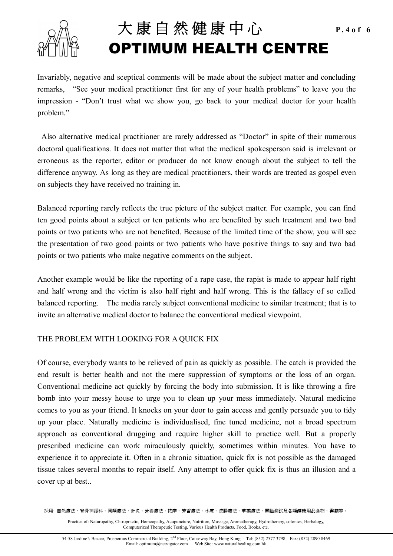

## 大 康 自 然 健 康 中 心 **P.4of 6 OPTIMUM HEALTH CENTRE**

Invariably, negative and sceptical comments will be made about the subject matter and concluding remarks, "See your medical practitioner first for any of your health problems" to leave you the impression - "Don't trust what we show you, go back to your medical doctor for your health problem."

 Also alternative medical practitioner are rarely addressed as "Doctor" in spite of their numerous doctoral qualifications. It does not matter that what the medical spokesperson said is irrelevant or erroneous as the reporter, editor or producer do not know enough about the subject to tell the difference anyway. As long as they are medical practitioners, their words are treated as gospel even on subjects they have received no training in.

Balanced reporting rarely reflects the true picture of the subject matter. For example, you can find ten good points about a subject or ten patients who are benefited by such treatment and two bad points or two patients who are not benefited. Because of the limited time of the show, you will see the presentation of two good points or two patients who have positive things to say and two bad points or two patients who make negative comments on the subject.

Another example would be like the reporting of a rape case, the rapist is made to appear half right and half wrong and the victim is also half right and half wrong. This is the fallacy of so called balanced reporting. The media rarely subject conventional medicine to similar treatment; that is to invite an alternative medical doctor to balance the conventional medical viewpoint.

#### THE PROBLEM WITH LOOKING FOR A QUICK FIX

Of course, everybody wants to be relieved of pain as quickly as possible. The catch is provided the end result is better health and not the mere suppression of symptoms or the loss of an organ. Conventional medicine act quickly by forcing the body into submission. It is like throwing a fire bomb into your messy house to urge you to clean up your mess immediately. Natural medicine comes to you as your friend. It knocks on your door to gain access and gently persuade you to tidy up your place. Naturally medicine is individualised, fine tuned medicine, not a broad spectrum approach as conventional drugging and require higher skill to practice well. But a properly prescribed medicine can work miraculously quickly, sometimes within minutes. You have to experience it to appreciate it. Often in a chronic situation, quick fix is not possible as the damaged tissue takes several months to repair itself. Any attempt to offer quick fix is thus an illusion and a cover up at best..

採用: 自然療法、脊骨神經科、同類療法、針炙、營養療法、按摩、芳香療法、水療、浣腸療法、草藥療法、電腦測試及各類健康用品食物、書籍等。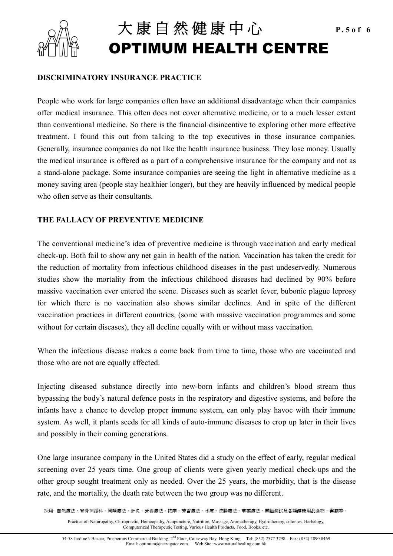

# 大 康 自 然 健 康 中 心 **P.5of 6 OPTIMUM HEALTH CENTRE**

#### **DISCRIMINATORY INSURANCE PRACTICE**

People who work for large companies often have an additional disadvantage when their companies offer medical insurance. This often does not cover alternative medicine, or to a much lesser extent than conventional medicine. So there is the financial disincentive to exploring other more effective treatment. I found this out from talking to the top executives in those insurance companies. Generally, insurance companies do not like the health insurance business. They lose money. Usually the medical insurance is offered as a part of a comprehensive insurance for the company and not as a stand-alone package. Some insurance companies are seeing the light in alternative medicine as a money saving area (people stay healthier longer), but they are heavily influenced by medical people who often serve as their consultants.

#### **THE FALLACY OF PREVENTIVE MEDICINE**

The conventional medicine's idea of preventive medicine is through vaccination and early medical check-up. Both fail to show any net gain in health of the nation. Vaccination has taken the credit for the reduction of mortality from infectious childhood diseases in the past undeservedly. Numerous studies show the mortality from the infectious childhood diseases had declined by 90% before massive vaccination ever entered the scene. Diseases such as scarlet fever, bubonic plague leprosy for which there is no vaccination also shows similar declines. And in spite of the different vaccination practices in different countries, (some with massive vaccination programmes and some without for certain diseases), they all decline equally with or without mass vaccination.

When the infectious disease makes a come back from time to time, those who are vaccinated and those who are not are equally affected.

Injecting diseased substance directly into new-born infants and children's blood stream thus bypassing the body's natural defence posts in the respiratory and digestive systems, and before the infants have a chance to develop proper immune system, can only play havoc with their immune system. As well, it plants seeds for all kinds of auto-immune diseases to crop up later in their lives and possibly in their coming generations.

One large insurance company in the United States did a study on the effect of early, regular medical screening over 25 years time. One group of clients were given yearly medical check-ups and the other group sought treatment only as needed. Over the 25 years, the morbidity, that is the disease rate, and the mortality, the death rate between the two group was no different.

採用: 自然療法、脊骨神經科、同類療法、針炙、營養療法、按摩、芳香療法、水療、浣腸療法、草藥療法、電腦測試及各類健康用品食物、書籍等。